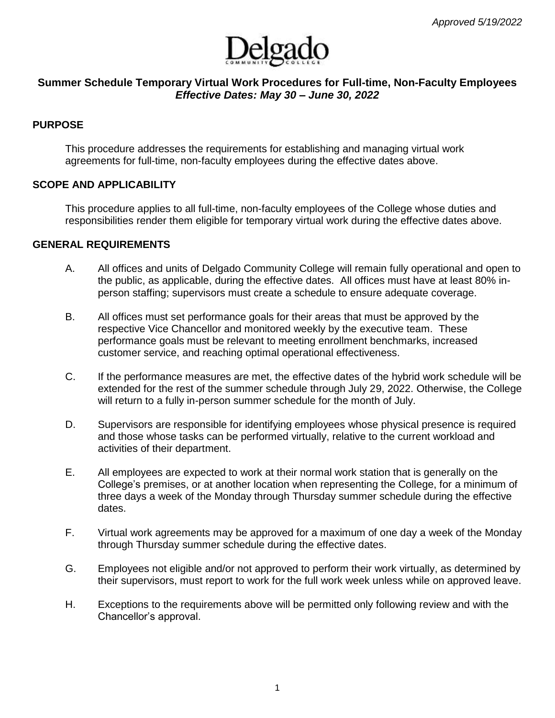

# **Summer Schedule Temporary Virtual Work Procedures for Full-time, Non-Faculty Employees** *Effective Dates: May 30 – June 30, 2022*

## **PURPOSE**

This procedure addresses the requirements for establishing and managing virtual work agreements for full-time, non-faculty employees during the effective dates above.

## **SCOPE AND APPLICABILITY**

This procedure applies to all full-time, non-faculty employees of the College whose duties and responsibilities render them eligible for temporary virtual work during the effective dates above.

## **GENERAL REQUIREMENTS**

- A. All offices and units of Delgado Community College will remain fully operational and open to the public, as applicable, during the effective dates. All offices must have at least 80% inperson staffing; supervisors must create a schedule to ensure adequate coverage.
- B. All offices must set performance goals for their areas that must be approved by the respective Vice Chancellor and monitored weekly by the executive team. These performance goals must be relevant to meeting enrollment benchmarks, increased customer service, and reaching optimal operational effectiveness.
- C. If the performance measures are met, the effective dates of the hybrid work schedule will be extended for the rest of the summer schedule through July 29, 2022. Otherwise, the College will return to a fully in-person summer schedule for the month of July.
- D. Supervisors are responsible for identifying employees whose physical presence is required and those whose tasks can be performed virtually, relative to the current workload and activities of their department.
- E. All employees are expected to work at their normal work station that is generally on the College's premises, or at another location when representing the College, for a minimum of three days a week of the Monday through Thursday summer schedule during the effective dates.
- F. Virtual work agreements may be approved for a maximum of one day a week of the Monday through Thursday summer schedule during the effective dates.
- G. Employees not eligible and/or not approved to perform their work virtually, as determined by their supervisors, must report to work for the full work week unless while on approved leave.
- H. Exceptions to the requirements above will be permitted only following review and with the Chancellor's approval.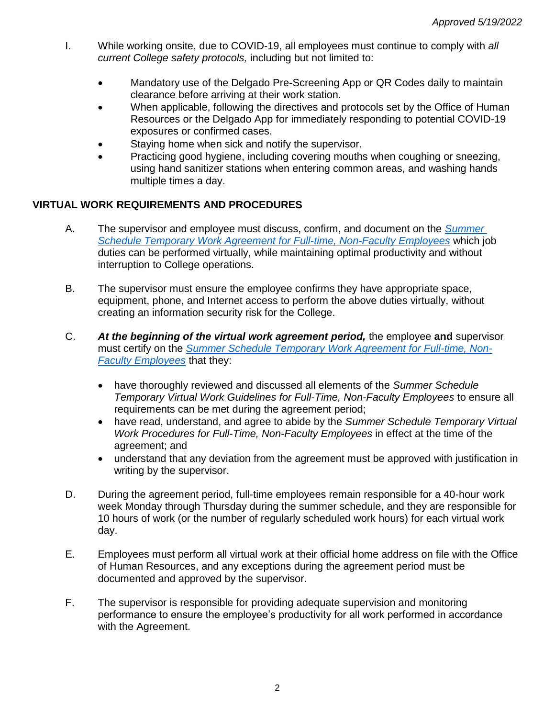- I. While working onsite, due to COVID-19, all employees must continue to comply with *all current College safety protocols,* including but not limited to:
	- Mandatory use of the Delgado Pre-Screening App or QR Codes daily to maintain clearance before arriving at their work station.
	- When applicable, following the directives and protocols set by the Office of Human Resources or the Delgado App for immediately responding to potential COVID-19 exposures or confirmed cases.
	- Staying home when sick and notify the supervisor.
	- Practicing good hygiene, including covering mouths when coughing or sneezing, using hand sanitizer stations when entering common areas, and washing hands multiple times a day.

# **VIRTUAL WORK REQUIREMENTS AND PROCEDURES**

- A. The supervisor and employee must discuss, confirm, and document on the *[Summer](http://docushare3.dcc.edu/docushare/dsweb/Get/Document-8028/)  [Schedule Temporary Work Agreement for Full-time, Non-Faculty Employees](http://docushare3.dcc.edu/docushare/dsweb/Get/Document-8028/)* which job duties can be performed virtually, while maintaining optimal productivity and without interruption to College operations.
- B. The supervisor must ensure the employee confirms they have appropriate space, equipment, phone, and Internet access to perform the above duties virtually, without creating an information security risk for the College.
- C. *At the beginning of the virtual work agreement period,* the employee **and** supervisor must certify on the *[Summer Schedule Temporary Work Agreement for Full-time, Non-](http://docushare3.dcc.edu/docushare/dsweb/Get/Document-8028/)[Faculty Employees](http://docushare3.dcc.edu/docushare/dsweb/Get/Document-8028/)* that they:
	- have thoroughly reviewed and discussed all elements of the *Summer Schedule Temporary Virtual Work Guidelines for Full-Time, Non-Faculty Employees* to ensure all requirements can be met during the agreement period;
	- have read, understand, and agree to abide by the *Summer Schedule Temporary Virtual Work Procedures for Full-Time, Non-Faculty Employees* in effect at the time of the agreement; and
	- understand that any deviation from the agreement must be approved with justification in writing by the supervisor.
- D. During the agreement period, full-time employees remain responsible for a 40-hour work week Monday through Thursday during the summer schedule, and they are responsible for 10 hours of work (or the number of regularly scheduled work hours) for each virtual work day.
- E. Employees must perform all virtual work at their official home address on file with the Office of Human Resources, and any exceptions during the agreement period must be documented and approved by the supervisor.
- F. The supervisor is responsible for providing adequate supervision and monitoring performance to ensure the employee's productivity for all work performed in accordance with the Agreement.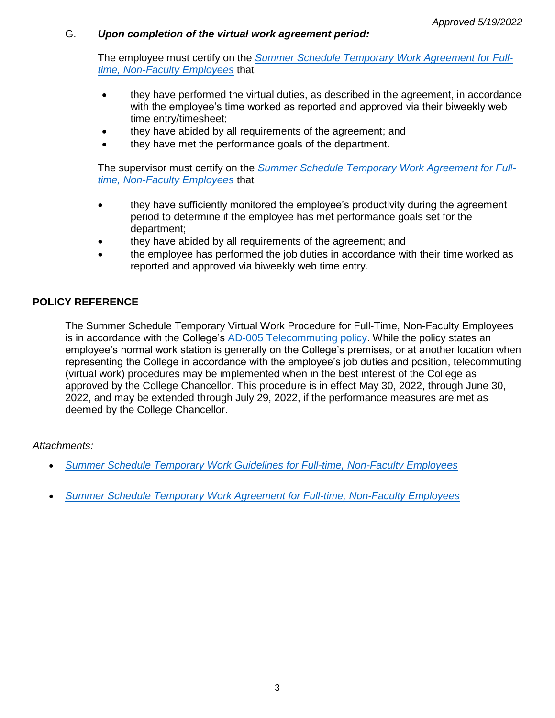## G. *Upon completion of the virtual work agreement period:*

The employee must certify on the *[Summer Schedule Temporary Work Agreement for Full](http://docushare3.dcc.edu/docushare/dsweb/Get/Document-8028/)[time, Non-Faculty Employees](http://docushare3.dcc.edu/docushare/dsweb/Get/Document-8028/)* that

- they have performed the virtual duties, as described in the agreement, in accordance with the employee's time worked as reported and approved via their biweekly web time entry/timesheet;
- they have abided by all requirements of the agreement; and
- they have met the performance goals of the department.

The supervisor must certify on the *[Summer Schedule Temporary Work Agreement for Full](http://docushare3.dcc.edu/docushare/dsweb/Get/Document-8028/)[time, Non-Faculty Employees](http://docushare3.dcc.edu/docushare/dsweb/Get/Document-8028/)* that

- they have sufficiently monitored the employee's productivity during the agreement period to determine if the employee has met performance goals set for the department;
- they have abided by all requirements of the agreement; and
- the employee has performed the job duties in accordance with their time worked as reported and approved via biweekly web time entry.

# **POLICY REFERENCE**

The Summer Schedule Temporary Virtual Work Procedure for Full-Time, Non-Faculty Employees is in accordance with the College's [AD-005 Telecommuting policy.](http://docushare3.dcc.edu/docushare/dsweb/Get/Document-7722) While the policy states an employee's normal work station is generally on the College's premises, or at another location when representing the College in accordance with the employee's job duties and position, telecommuting (virtual work) procedures may be implemented when in the best interest of the College as approved by the College Chancellor. This procedure is in effect May 30, 2022, through June 30, 2022, and may be extended through July 29, 2022, if the performance measures are met as deemed by the College Chancellor.

## *Attachments:*

- *[Summer Schedule Temporary Work Guidelines for Full-time, Non-Faculty Employees](http://docushare3.dcc.edu/docushare/dsweb/Get/Document-8030/)*
- *[Summer Schedule Temporary Work Agreement for Full-time, Non-Faculty Employees](http://docushare3.dcc.edu/docushare/dsweb/Get/Document-8028/)*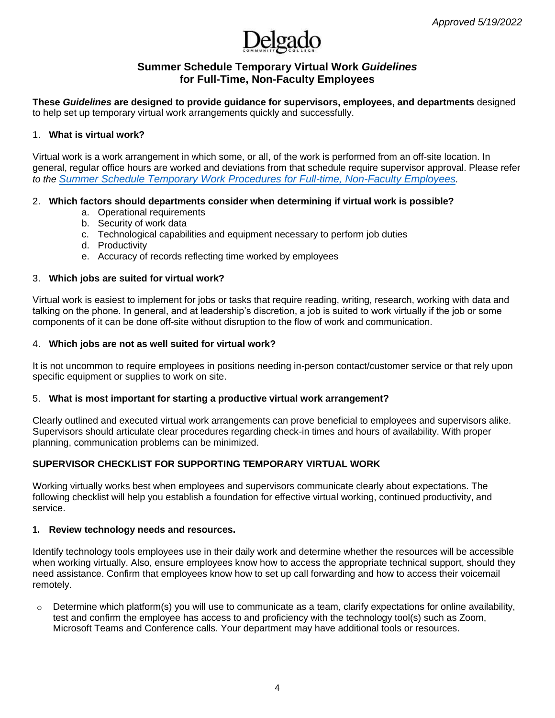

## **Summer Schedule Temporary Virtual Work** *Guidelines* **for Full-Time, Non-Faculty Employees**

**These** *Guidelines* **are designed to provide guidance for supervisors, employees, and departments** designed to help set up temporary virtual work arrangements quickly and successfully.

### 1. **What is virtual work?**

Virtual work is a work arrangement in which some, or all, of the work is performed from an off-site location. In general, regular office hours are worked and deviations from that schedule require supervisor approval. Please refer *to the [Summer Schedule Temporary Work Procedures](http://docushare3.dcc.edu/docushare/dsweb/Get/Document-8030/) for Full-time, Non-Faculty Employees.*

### 2. **Which factors should departments consider when determining if virtual work is possible?**

- a. Operational requirements
- b. Security of work data
- c. Technological capabilities and equipment necessary to perform job duties
- d. Productivity
- e. Accuracy of records reflecting time worked by employees

#### 3. **Which jobs are suited for virtual work?**

Virtual work is easiest to implement for jobs or tasks that require reading, writing, research, working with data and talking on the phone. In general, and at leadership's discretion, a job is suited to work virtually if the job or some components of it can be done off-site without disruption to the flow of work and communication.

#### 4. **Which jobs are not as well suited for virtual work?**

It is not uncommon to require employees in positions needing in-person contact/customer service or that rely upon specific equipment or supplies to work on site.

### 5. **What is most important for starting a productive virtual work arrangement?**

Clearly outlined and executed virtual work arrangements can prove beneficial to employees and supervisors alike. Supervisors should articulate clear procedures regarding check-in times and hours of availability. With proper planning, communication problems can be minimized.

### **SUPERVISOR CHECKLIST FOR SUPPORTING TEMPORARY VIRTUAL WORK**

Working virtually works best when employees and supervisors communicate clearly about expectations. The following checklist will help you establish a foundation for effective virtual working, continued productivity, and service.

#### **1. Review technology needs and resources.**

Identify technology tools employees use in their daily work and determine whether the resources will be accessible when working virtually. Also, ensure employees know how to access the appropriate technical support, should they need assistance. Confirm that employees know how to set up call forwarding and how to access their voicemail remotely.

 $\circ$  Determine which platform(s) you will use to communicate as a team, clarify expectations for online availability, test and confirm the employee has access to and proficiency with the technology tool(s) such as Zoom, Microsoft Teams and Conference calls. Your department may have additional tools or resources.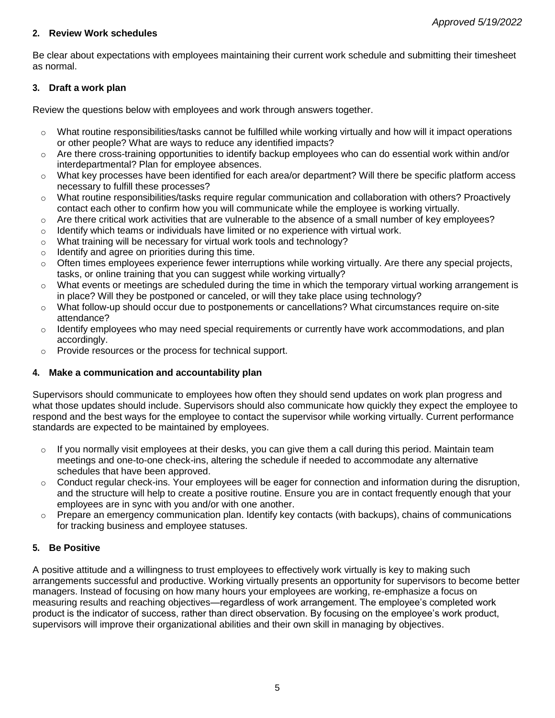## **2. Review Work schedules**

Be clear about expectations with employees maintaining their current work schedule and submitting their timesheet as normal.

## **3. Draft a work plan**

Review the questions below with employees and work through answers together.

- $\circ$  What routine responsibilities/tasks cannot be fulfilled while working virtually and how will it impact operations or other people? What are ways to reduce any identified impacts?
- o Are there cross-training opportunities to identify backup employees who can do essential work within and/or interdepartmental? Plan for employee absences.
- o What key processes have been identified for each area/or department? Will there be specific platform access necessary to fulfill these processes?
- o What routine responsibilities/tasks require regular communication and collaboration with others? Proactively contact each other to confirm how you will communicate while the employee is working virtually.
- $\circ$  Are there critical work activities that are vulnerable to the absence of a small number of key employees?
- $\circ$  Identify which teams or individuals have limited or no experience with virtual work.
- o What training will be necessary for virtual work tools and technology?
- $\circ$  Identify and agree on priorities during this time.
- $\circ$  Often times employees experience fewer interruptions while working virtually. Are there any special projects, tasks, or online training that you can suggest while working virtually?
- $\circ$  What events or meetings are scheduled during the time in which the temporary virtual working arrangement is in place? Will they be postponed or canceled, or will they take place using technology?
- $\circ$  What follow-up should occur due to postponements or cancellations? What circumstances require on-site attendance?
- $\circ$  Identify employees who may need special requirements or currently have work accommodations, and plan accordingly.
- o Provide resources or the process for technical support.

## **4. Make a communication and accountability plan**

Supervisors should communicate to employees how often they should send updates on work plan progress and what those updates should include. Supervisors should also communicate how quickly they expect the employee to respond and the best ways for the employee to contact the supervisor while working virtually. Current performance standards are expected to be maintained by employees.

- $\circ$  If you normally visit employees at their desks, you can give them a call during this period. Maintain team meetings and one-to-one check-ins, altering the schedule if needed to accommodate any alternative schedules that have been approved.
- $\circ$  Conduct regular check-ins. Your employees will be eager for connection and information during the disruption, and the structure will help to create a positive routine. Ensure you are in contact frequently enough that your employees are in sync with you and/or with one another.
- $\circ$  Prepare an emergency communication plan. Identify key contacts (with backups), chains of communications for tracking business and employee statuses.

## **5. Be Positive**

A positive attitude and a willingness to trust employees to effectively work virtually is key to making such arrangements successful and productive. Working virtually presents an opportunity for supervisors to become better managers. Instead of focusing on how many hours your employees are working, re-emphasize a focus on measuring results and reaching objectives—regardless of work arrangement. The employee's completed work product is the indicator of success, rather than direct observation. By focusing on the employee's work product, supervisors will improve their organizational abilities and their own skill in managing by objectives.